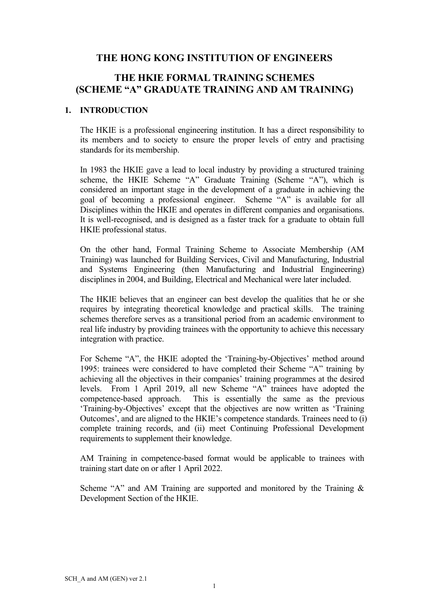### THE HONG KONG INSTITUTION OF ENGINEERS

# THE HKIE FORMAL TRAINING SCHEMES (SCHEME "A" GRADUATE TRAINING AND AM TRAINING)

#### 1. INTRODUCTION

The HKIE is a professional engineering institution. It has a direct responsibility to its members and to society to ensure the proper levels of entry and practising standards for its membership.

In 1983 the HKIE gave a lead to local industry by providing a structured training scheme, the HKIE Scheme "A" Graduate Training (Scheme "A"), which is considered an important stage in the development of a graduate in achieving the goal of becoming a professional engineer. Scheme "A" is available for all Disciplines within the HKIE and operates in different companies and organisations. It is well-recognised, and is designed as a faster track for a graduate to obtain full HKIE professional status.

On the other hand, Formal Training Scheme to Associate Membership (AM Training) was launched for Building Services, Civil and Manufacturing, Industrial and Systems Engineering (then Manufacturing and Industrial Engineering) disciplines in 2004, and Building, Electrical and Mechanical were later included.

The HKIE believes that an engineer can best develop the qualities that he or she requires by integrating theoretical knowledge and practical skills. The training schemes therefore serves as a transitional period from an academic environment to real life industry by providing trainees with the opportunity to achieve this necessary integration with practice.

For Scheme "A", the HKIE adopted the 'Training-by-Objectives' method around 1995: trainees were considered to have completed their Scheme "A" training by achieving all the objectives in their companies' training programmes at the desired levels. From 1 April 2019, all new Scheme "A" trainees have adopted the competence-based approach. This is essentially the same as the previous 'Training-by-Objectives' except that the objectives are now written as 'Training Outcomes', and are aligned to the HKIE's competence standards. Trainees need to (i) complete training records, and (ii) meet Continuing Professional Development requirements to supplement their knowledge.

AM Training in competence-based format would be applicable to trainees with training start date on or after 1 April 2022.

Scheme "A" and AM Training are supported and monitored by the Training  $\&$ Development Section of the HKIE.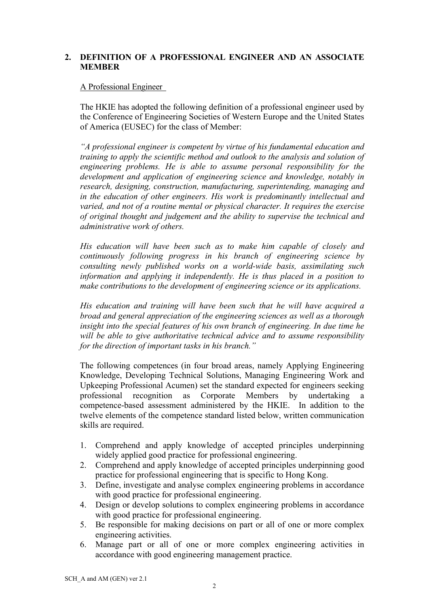### 2. DEFINITION OF A PROFESSIONAL ENGINEER AND AN ASSOCIATE **MEMBER**

### A Professional Engineer

The HKIE has adopted the following definition of a professional engineer used by the Conference of Engineering Societies of Western Europe and the United States of America (EUSEC) for the class of Member:

"A professional engineer is competent by virtue of his fundamental education and training to apply the scientific method and outlook to the analysis and solution of engineering problems. He is able to assume personal responsibility for the development and application of engineering science and knowledge, notably in research, designing, construction, manufacturing, superintending, managing and in the education of other engineers. His work is predominantly intellectual and varied, and not of a routine mental or physical character. It requires the exercise of original thought and judgement and the ability to supervise the technical and administrative work of others.

His education will have been such as to make him capable of closely and continuously following progress in his branch of engineering science by consulting newly published works on a world-wide basis, assimilating such information and applying it independently. He is thus placed in a position to make contributions to the development of engineering science or its applications.

His education and training will have been such that he will have acquired a broad and general appreciation of the engineering sciences as well as a thorough insight into the special features of his own branch of engineering. In due time he will be able to give authoritative technical advice and to assume responsibility for the direction of important tasks in his branch."

The following competences (in four broad areas, namely Applying Engineering Knowledge, Developing Technical Solutions, Managing Engineering Work and Upkeeping Professional Acumen) set the standard expected for engineers seeking professional recognition as Corporate Members by undertaking a competence-based assessment administered by the HKIE. In addition to the twelve elements of the competence standard listed below, written communication skills are required.

- 1. Comprehend and apply knowledge of accepted principles underpinning widely applied good practice for professional engineering.
- 2. Comprehend and apply knowledge of accepted principles underpinning good practice for professional engineering that is specific to Hong Kong.
- 3. Define, investigate and analyse complex engineering problems in accordance with good practice for professional engineering.
- 4. Design or develop solutions to complex engineering problems in accordance with good practice for professional engineering.
- 5. Be responsible for making decisions on part or all of one or more complex engineering activities.
- 6. Manage part or all of one or more complex engineering activities in accordance with good engineering management practice.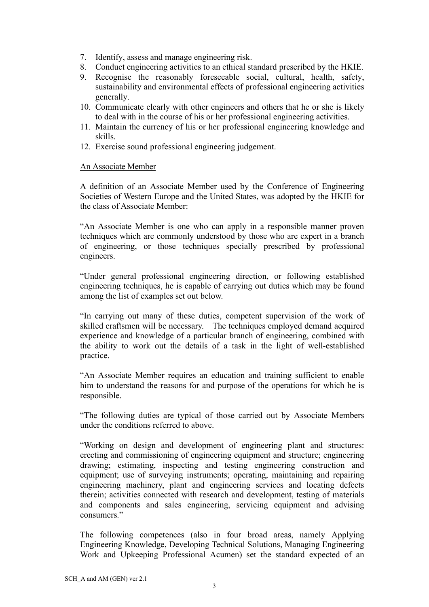- 7. Identify, assess and manage engineering risk.
- 8. Conduct engineering activities to an ethical standard prescribed by the HKIE.
- 9. Recognise the reasonably foreseeable social, cultural, health, safety, sustainability and environmental effects of professional engineering activities generally.
- 10. Communicate clearly with other engineers and others that he or she is likely to deal with in the course of his or her professional engineering activities.
- 11. Maintain the currency of his or her professional engineering knowledge and skills.
- 12. Exercise sound professional engineering judgement.

#### An Associate Member

A definition of an Associate Member used by the Conference of Engineering Societies of Western Europe and the United States, was adopted by the HKIE for the class of Associate Member:

"An Associate Member is one who can apply in a responsible manner proven techniques which are commonly understood by those who are expert in a branch of engineering, or those techniques specially prescribed by professional engineers.

"Under general professional engineering direction, or following established engineering techniques, he is capable of carrying out duties which may be found among the list of examples set out below.

"In carrying out many of these duties, competent supervision of the work of skilled craftsmen will be necessary. The techniques employed demand acquired experience and knowledge of a particular branch of engineering, combined with the ability to work out the details of a task in the light of well-established practice.

"An Associate Member requires an education and training sufficient to enable him to understand the reasons for and purpose of the operations for which he is responsible.

"The following duties are typical of those carried out by Associate Members under the conditions referred to above.

"Working on design and development of engineering plant and structures: erecting and commissioning of engineering equipment and structure; engineering drawing; estimating, inspecting and testing engineering construction and equipment; use of surveying instruments; operating, maintaining and repairing engineering machinery, plant and engineering services and locating defects therein; activities connected with research and development, testing of materials and components and sales engineering, servicing equipment and advising consumers."

The following competences (also in four broad areas, namely Applying Engineering Knowledge, Developing Technical Solutions, Managing Engineering Work and Upkeeping Professional Acumen) set the standard expected of an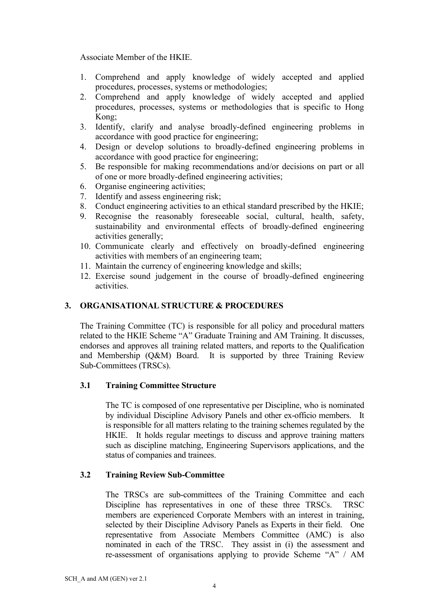Associate Member of the HKIE.

- 1. Comprehend and apply knowledge of widely accepted and applied procedures, processes, systems or methodologies;
- 2. Comprehend and apply knowledge of widely accepted and applied procedures, processes, systems or methodologies that is specific to Hong Kong;
- 3. Identify, clarify and analyse broadly-defined engineering problems in accordance with good practice for engineering;
- 4. Design or develop solutions to broadly-defined engineering problems in accordance with good practice for engineering;
- 5. Be responsible for making recommendations and/or decisions on part or all of one or more broadly-defined engineering activities;
- 6. Organise engineering activities;
- 7. Identify and assess engineering risk;
- 8. Conduct engineering activities to an ethical standard prescribed by the HKIE;
- 9. Recognise the reasonably foreseeable social, cultural, health, safety, sustainability and environmental effects of broadly-defined engineering activities generally;
- 10. Communicate clearly and effectively on broadly-defined engineering activities with members of an engineering team;
- 11. Maintain the currency of engineering knowledge and skills;
- 12. Exercise sound judgement in the course of broadly-defined engineering activities.

### 3. ORGANISATIONAL STRUCTURE & PROCEDURES

The Training Committee (TC) is responsible for all policy and procedural matters related to the HKIE Scheme "A" Graduate Training and AM Training. It discusses, endorses and approves all training related matters, and reports to the Qualification and Membership (Q&M) Board. It is supported by three Training Review Sub-Committees (TRSCs).

### 3.1 Training Committee Structure

The TC is composed of one representative per Discipline, who is nominated by individual Discipline Advisory Panels and other ex-officio members. It is responsible for all matters relating to the training schemes regulated by the HKIE. It holds regular meetings to discuss and approve training matters such as discipline matching, Engineering Supervisors applications, and the status of companies and trainees.

### 3.2 Training Review Sub-Committee

The TRSCs are sub-committees of the Training Committee and each Discipline has representatives in one of these three TRSCs. TRSC members are experienced Corporate Members with an interest in training, selected by their Discipline Advisory Panels as Experts in their field. One representative from Associate Members Committee (AMC) is also nominated in each of the TRSC. They assist in (i) the assessment and re-assessment of organisations applying to provide Scheme "A" / AM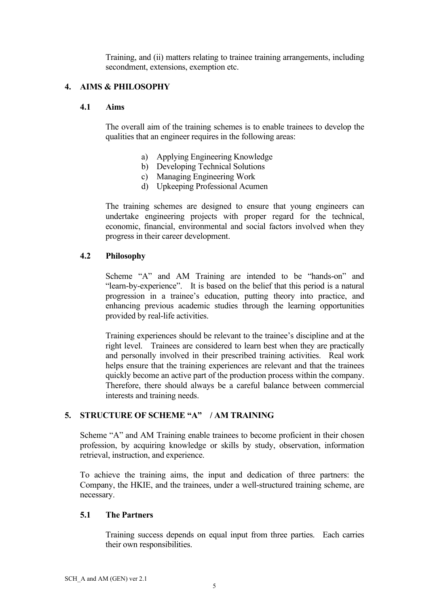Training, and (ii) matters relating to trainee training arrangements, including secondment, extensions, exemption etc.

### 4. AIMS & PHILOSOPHY

### 4.1 Aims

The overall aim of the training schemes is to enable trainees to develop the qualities that an engineer requires in the following areas:

- a) Applying Engineering Knowledge
- b) Developing Technical Solutions
- c) Managing Engineering Work
- d) Upkeeping Professional Acumen

The training schemes are designed to ensure that young engineers can undertake engineering projects with proper regard for the technical, economic, financial, environmental and social factors involved when they progress in their career development.

### 4.2 Philosophy

Scheme "A" and AM Training are intended to be "hands-on" and "learn-by-experience". It is based on the belief that this period is a natural progression in a trainee's education, putting theory into practice, and enhancing previous academic studies through the learning opportunities provided by real-life activities.

Training experiences should be relevant to the trainee's discipline and at the right level. Trainees are considered to learn best when they are practically and personally involved in their prescribed training activities. Real work helps ensure that the training experiences are relevant and that the trainees quickly become an active part of the production process within the company. Therefore, there should always be a careful balance between commercial interests and training needs.

### 5. STRUCTURE OF SCHEME "A" / AM TRAINING

Scheme "A" and AM Training enable trainees to become proficient in their chosen profession, by acquiring knowledge or skills by study, observation, information retrieval, instruction, and experience.

To achieve the training aims, the input and dedication of three partners: the Company, the HKIE, and the trainees, under a well-structured training scheme, are necessary.

### 5.1 The Partners

Training success depends on equal input from three parties. Each carries their own responsibilities.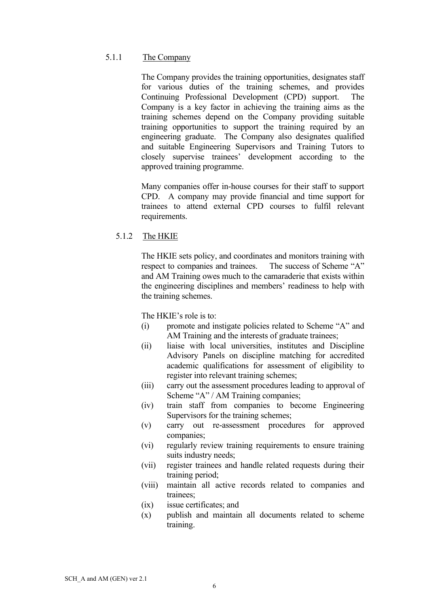#### 5.1.1 The Company

The Company provides the training opportunities, designates staff for various duties of the training schemes, and provides Continuing Professional Development (CPD) support. The Company is a key factor in achieving the training aims as the training schemes depend on the Company providing suitable training opportunities to support the training required by an engineering graduate. The Company also designates qualified and suitable Engineering Supervisors and Training Tutors to closely supervise trainees' development according to the approved training programme.

Many companies offer in-house courses for their staff to support CPD. A company may provide financial and time support for trainees to attend external CPD courses to fulfil relevant requirements.

### 5.1.2 The HKIE

The HKIE sets policy, and coordinates and monitors training with respect to companies and trainees. The success of Scheme "A" and AM Training owes much to the camaraderie that exists within the engineering disciplines and members' readiness to help with the training schemes.

The HKIE's role is to:

- (i) promote and instigate policies related to Scheme "A" and AM Training and the interests of graduate trainees:
- (ii) liaise with local universities, institutes and Discipline Advisory Panels on discipline matching for accredited academic qualifications for assessment of eligibility to register into relevant training schemes;
- (iii) carry out the assessment procedures leading to approval of Scheme "A" / AM Training companies;
- (iv) train staff from companies to become Engineering Supervisors for the training schemes;
- (v) carry out re-assessment procedures for approved companies;
- (vi) regularly review training requirements to ensure training suits industry needs;
- (vii) register trainees and handle related requests during their training period;
- (viii) maintain all active records related to companies and trainees;
- (ix) issue certificates; and
- (x) publish and maintain all documents related to scheme training.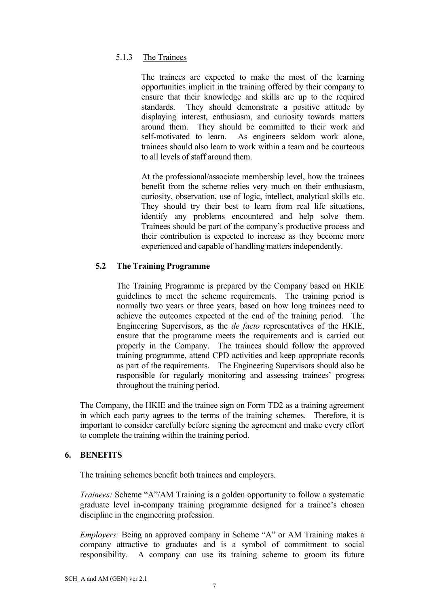### 5.1.3 The Trainees

The trainees are expected to make the most of the learning opportunities implicit in the training offered by their company to ensure that their knowledge and skills are up to the required standards. They should demonstrate a positive attitude by displaying interest, enthusiasm, and curiosity towards matters around them. They should be committed to their work and self-motivated to learn. As engineers seldom work alone, trainees should also learn to work within a team and be courteous to all levels of staff around them.

At the professional/associate membership level, how the trainees benefit from the scheme relies very much on their enthusiasm, curiosity, observation, use of logic, intellect, analytical skills etc. They should try their best to learn from real life situations, identify any problems encountered and help solve them. Trainees should be part of the company's productive process and their contribution is expected to increase as they become more experienced and capable of handling matters independently.

### 5.2 The Training Programme

The Training Programme is prepared by the Company based on HKIE guidelines to meet the scheme requirements. The training period is normally two years or three years, based on how long trainees need to achieve the outcomes expected at the end of the training period. The Engineering Supervisors, as the de facto representatives of the HKIE, ensure that the programme meets the requirements and is carried out properly in the Company. The trainees should follow the approved training programme, attend CPD activities and keep appropriate records as part of the requirements. The Engineering Supervisors should also be responsible for regularly monitoring and assessing trainees' progress throughout the training period.

The Company, the HKIE and the trainee sign on Form TD2 as a training agreement in which each party agrees to the terms of the training schemes. Therefore, it is important to consider carefully before signing the agreement and make every effort to complete the training within the training period.

### 6. BENEFITS

The training schemes benefit both trainees and employers.

Trainees: Scheme "A"/AM Training is a golden opportunity to follow a systematic graduate level in-company training programme designed for a trainee's chosen discipline in the engineering profession.

Employers: Being an approved company in Scheme "A" or AM Training makes a company attractive to graduates and is a symbol of commitment to social responsibility. A company can use its training scheme to groom its future